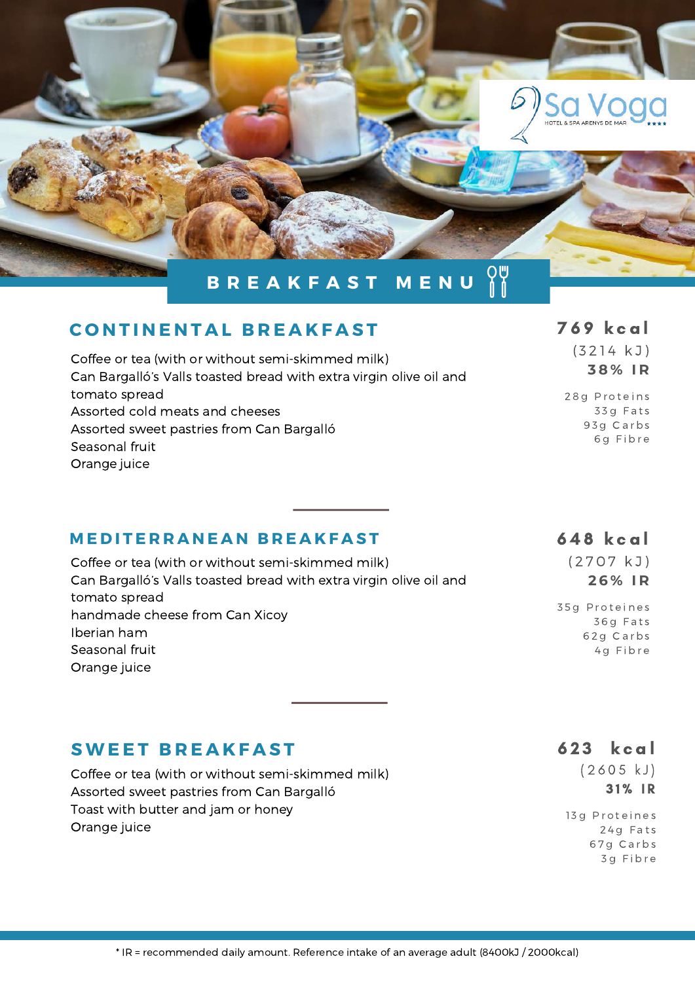

### $$

| Coffee or tea (with or without semi-skimmed milk)<br>Can Bargalló's Valls toasted bread with extra virgin olive oil and | (3214 KJ)<br>38% IR |
|-------------------------------------------------------------------------------------------------------------------------|---------------------|
| tomato spread                                                                                                           | 28g Proteins        |
| Assorted cold meats and cheeses                                                                                         | 33g Fats            |
| Assorted sweet pastries from Can Bargalló                                                                               | 93g Carbs           |
| Seasonal fruit                                                                                                          | 6g Fibre            |
| Orange juice                                                                                                            |                     |

#### **MEDITERRANEAN BREAKFAST**

| Coffee or tea (with or without semi-skimmed milk)                  |
|--------------------------------------------------------------------|
| Can Bargalló's Valls toasted bread with extra virgin olive oil and |
| tomato spread                                                      |
| handmade cheese from Can Xicoy                                     |
| Iberian ham                                                        |
| Seasonal fruit                                                     |
| Orange juice                                                       |

#### 6 4 8 k c a l

 $(2707 kJ)$ **2 6 % I R**

35g Proteines 3 6 g F a t s 6 2 g C a r b s 4g Fibre

# $SWEET BREAKFAST$

Coffee or tea (with or without semi-skimmed milk) Assorted sweet pastries from Can Bargalló Toast with butter and jam or honey Orange juice

623 kcal

 $(2605 kJ)$ 3 1 % I R

13g Proteines 24g Fats 6 7 g C a r b s 3 g F i b r e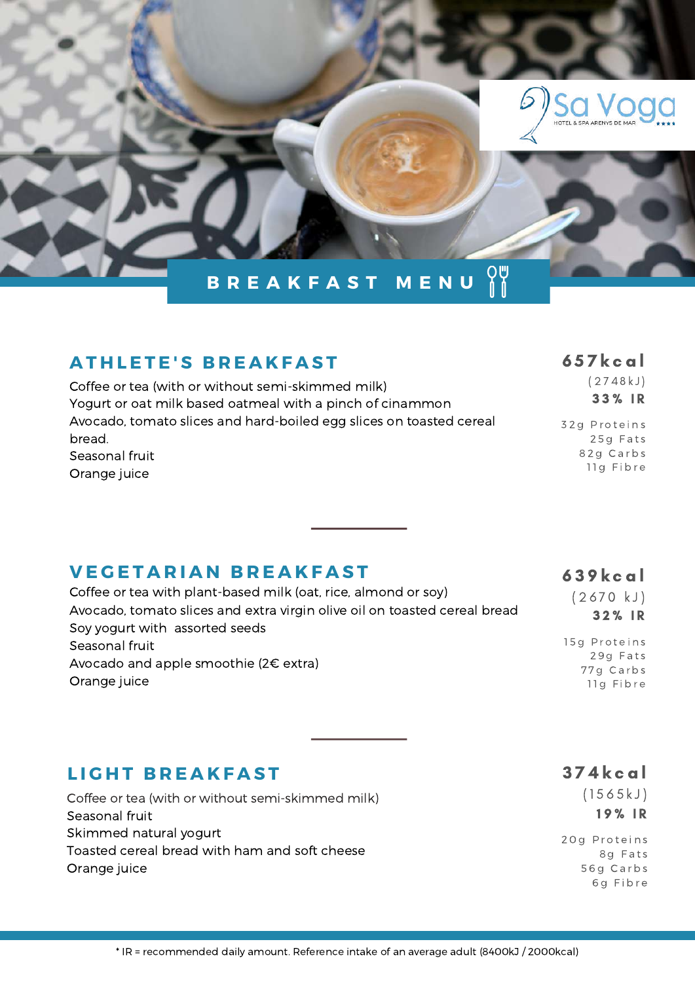

# **A T H L E T E ' S B R E A K F A S T**

Coffee or tea (with or without semi-skimmed milk) Yogurt or oat milk based oatmeal with a pinch of cinammon Avocado, tomato slices and hard-boiled egg slices on toasted cereal bread. Seasonal fruit Orange juice

#### 6 5 7 k c a l

32g Proteins 25g Fats 82g Carbs 11g Fibre

 $(2748 kJ)$ 3 3 % I R

 $(2670 kJ)$ 3 2 % I R

15 g Proteins 29g Fats 7 7 g C a r b s 11g Fibre

#### **V E G E T A R I A N B R E A K F A S T** 6 3 9 k c a l Coffee or tea with plant-based milk (oat, rice, almond or soy)

Avocado, tomato slices and extra virgin olive oil on toasted cereal bread Soy yogurt with assorted seeds Seasonal fruit Avocado and apple smoothie (2€ extra) Orange juice

#### **L I G H T B R E A K F A S T**

Coffee or tea (with or without semi-skimmed milk) Seasonal fruit Skimmed natural yogurt Toasted cereal bread with ham and soft cheese Orange juice

3 7 4 k c a l

 $(1565 kJ)$ 19% IR

20g Proteins 8g Fats 5 6 g C a r b s 6 g F i b r e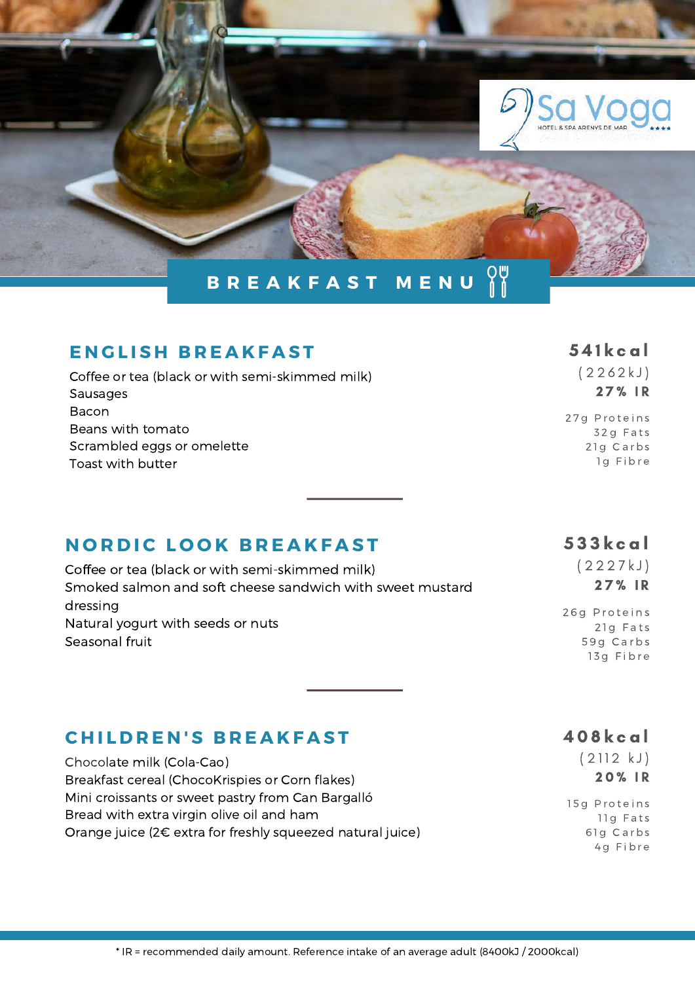

#### $E$  **N GLISH BREAKFAST** 541 k c al

| Coffee or tea (black or with semi-skimmed milk) |
|-------------------------------------------------|
| <b>Sausages</b>                                 |
| Bacon                                           |
| Beans with tomato                               |
| Scrambled eggs or omelette                      |
| Toast with butter                               |

# **NORDIC LOOK BREAKFAST** 533kcal

Coffee or tea (black or with semi-skimmed milk) Smoked salmon and soft cheese sandwich with sweet mustard dressing Natural yogurt with seeds or nuts Seasonal fruit

 $(2262 kJ)$ 2 7 % I R

27g Proteins 3 2 g F a t s 21g Carbs 1q Fibre

( 2 2 2 7 k J) 27% IR

26g Proteins 21g Fats 59q Carbs 13g Fibre

# $CHILDREN'S BREAKFAST$

Chocolate milk (Cola-Cao) Breakfast cereal (ChocoKrispies or Corn flakes) Mini croissants or sweet pastry from Can Bargalló Bread with extra virgin olive oil and ham Orange juice (2€ extra for freshly squeezed natural juice) 4 0 8 k c a l

 $(2112 kJ)$ 2 0 % I R

15g Proteins 11g Fats 61g Carbs 4g Fibre